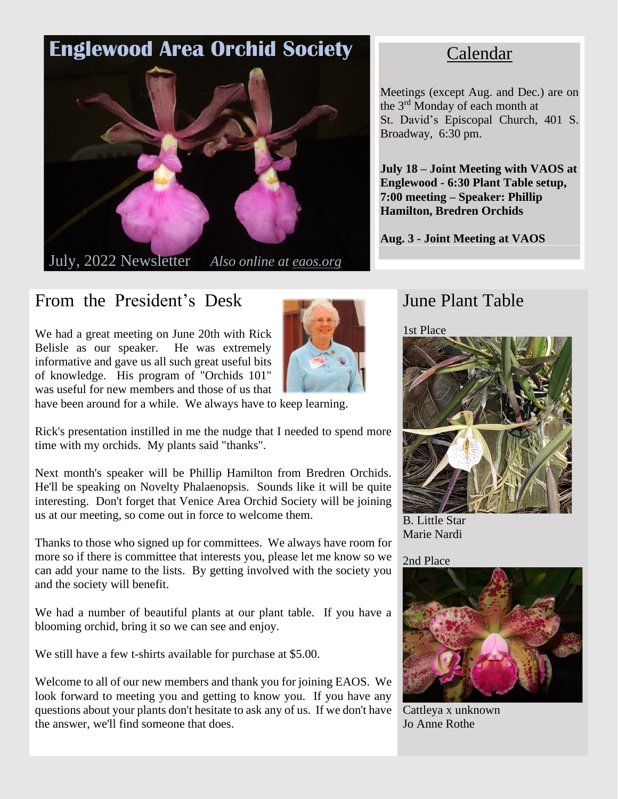# **Englewood Area Orchid Society**



July, 2022 Newsletter *Also online at eaos.org*

# From the President's Desk

We had a great meeting on June 20th with Rick Belisle as our speaker. He was extremely informative and gave us all such great useful bits of knowledge. His program of "Orchids 101" was useful for new members and those of us that



have been around for a while. We always have to keep learning.

Rick's presentation instilled in me the nudge that I needed to spend more time with my orchids. My plants said "thanks".

Next month's speaker will be Phillip Hamilton from Bredren Orchids. He'll be speaking on Novelty Phalaenopsis. Sounds like it will be quite interesting. Don't forget that Venice Area Orchid Society will be joining us at our meeting, so come out in force to welcome them.

Thanks to those who signed up for committees. We always have room for more so if there is committee that interests you, please let me know so we can add your name to the lists. By getting involved with the society you and the society will benefit.

We had a number of beautiful plants at our plant table. If you have a blooming orchid, bring it so we can see and enjoy.

We still have a few t-shirts available for purchase at \$5.00.

Welcome to all of our new members and thank you for joining EAOS. We look forward to meeting you and getting to know you. If you have any questions about your plants don't hesitate to ask any of us. If we don't have the answer, we'll find someone that does.

## Calendar

Meetings (except Aug. and Dec.) are on the 3<sup>rd</sup> Monday of each month at St. David's Episcopal Church, 401 S. Broadway, 6:30 pm.

**July 18 – Joint Meeting with VAOS at Englewood - 6:30 Plant Table setup, 7:00 meeting – Speaker: Phillip Hamilton, Bredren Orchids**

**Aug. 3 - Joint Meeting at VAOS**

### June Plant Table

1st Place



B. Little Star Marie Nardi

### 2nd Place



Cattleya x unknown Jo Anne Rothe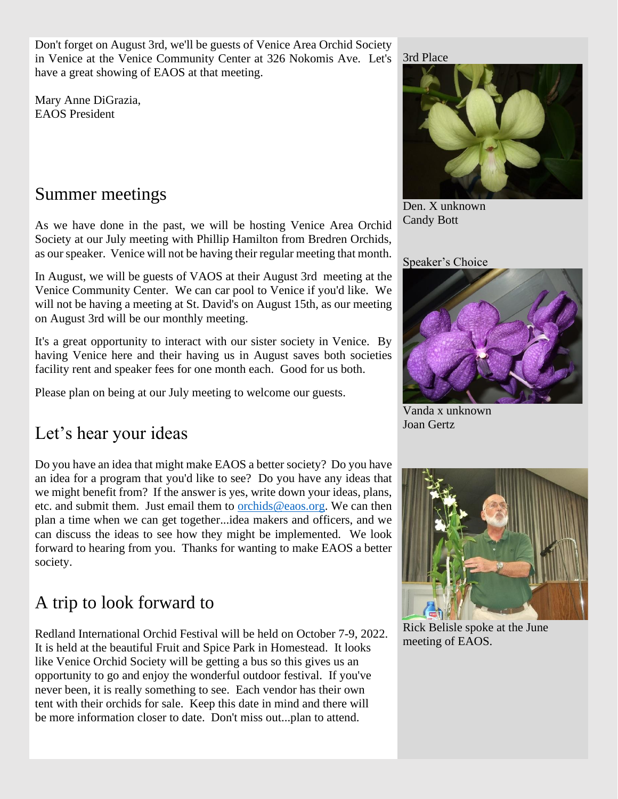Don't forget on August 3rd, we'll be guests of Venice Area Orchid Society in Venice at the Venice Community Center at 326 Nokomis Ave. Let's have a great showing of EAOS at that meeting.

Mary Anne DiGrazia, EAOS President

### Summer meetings

As we have done in the past, we will be hosting Venice Area Orchid Society at our July meeting with Phillip Hamilton from Bredren Orchids, as ourspeaker. Venice will not be having their regular meeting that month.

In August, we will be guests of VAOS at their August 3rd meeting at the Venice Community Center. We can car pool to Venice if you'd like. We will not be having a meeting at St. David's on August 15th, as our meeting on August 3rd will be our monthly meeting.

It's a great opportunity to interact with our sister society in Venice. By having Venice here and their having us in August saves both societies facility rent and speaker fees for one month each. Good for us both.

Please plan on being at our July meeting to welcome our guests.

## Let's hear your ideas

Do you have an idea that might make EAOS a better society? Do you have an idea for a program that you'd like to see? Do you have any ideas that we might benefit from? If the answer is yes, write down your ideas, plans, etc. and submit them. Just email them to [orchids@eaos.org.](mailto:orchids@eaos.org) We can then plan a time when we can get together...idea makers and officers, and we can discuss the ideas to see how they might be implemented. We look forward to hearing from you. Thanks for wanting to make EAOS a better society.

## A trip to look forward to

Redland International Orchid Festival will be held on October 7-9, 2022. It is held at the beautiful Fruit and Spice Park in Homestead. It looks like Venice Orchid Society will be getting a bus so this gives us an opportunity to go and enjoy the wonderful outdoor festival. If you've never been, it is really something to see. Each vendor has their own tent with their orchids for sale. Keep this date in mind and there will be more information closer to date. Don't miss out...plan to attend.

#### 3rd Place



Den. X unknown Candy Bott

Speaker's Choice



Vanda x unknown Joan Gertz



Rick Belisle spoke at the June meeting of EAOS.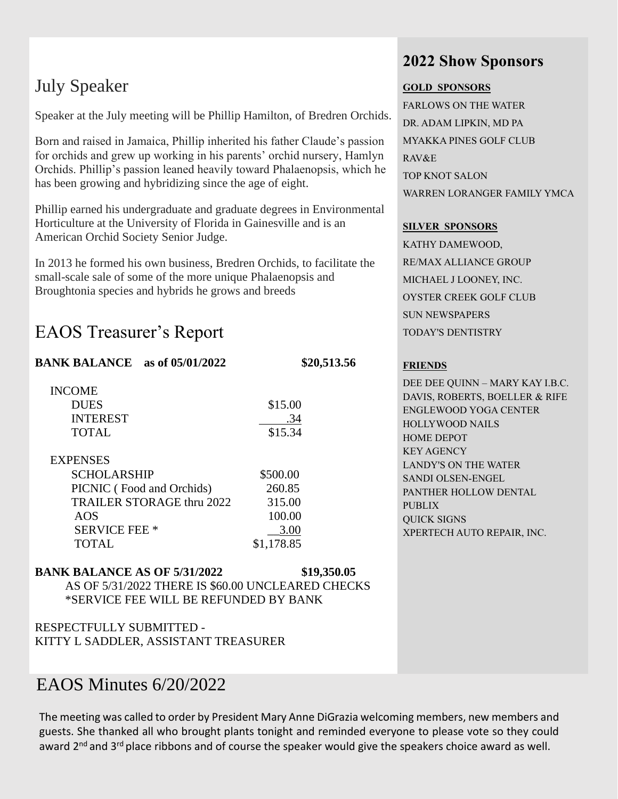# July Speaker

Speaker at the July meeting will be Phillip Hamilton, of Bredren Orchids.

Born and raised in Jamaica, Phillip inherited his father Claude's passion for orchids and grew up working in his parents' orchid nursery, Hamlyn Orchids. Phillip's passion leaned heavily toward Phalaenopsis, which he has been growing and hybridizing since the age of eight.

Phillip earned his undergraduate and graduate degrees in Environmental Horticulture at the University of Florida in Gainesville and is an American Orchid Society Senior Judge.

In 2013 he formed his own business, Bredren Orchids, to facilitate the small-scale sale of some of the more unique Phalaenopsis and Broughtonia species and hybrids he grows and breeds

## EAOS Treasurer's Report

### **BANK BALANCE** as of 05/01/2022 \$20,513.56

| <b>INCOME</b>   |         |
|-----------------|---------|
| <b>DUES</b>     | \$15.00 |
| <b>INTEREST</b> | .34     |
| <b>TOTAL</b>    | \$15.34 |

| <b>EXPENSES</b>           |            |
|---------------------------|------------|
| <b>SCHOLARSHIP</b>        | \$500.00   |
| PICNIC (Food and Orchids) | 260.85     |
| TRAILER STORAGE thru 2022 | 315.00     |
| AOS                       | 100.00     |
| <b>SERVICE FEE *</b>      | 3.00       |
| <b>TOTAL</b>              | \$1,178.85 |

#### **BANK BALANCE AS OF 5/31/2022 \$19,350.05**

AS OF 5/31/2022 THERE IS \$60.00 UNCLEARED CHECKS \*SERVICE FEE WILL BE REFUNDED BY BANK

RESPECTFULLY SUBMITTED - KITTY L SADDLER, ASSISTANT TREASURER

### EAOS Minutes 6/20/2022

The meeting was called to order by President Mary Anne DiGrazia welcoming members, new members and guests. She thanked all who brought plants tonight and reminded everyone to please vote so they could award 2<sup>nd</sup> and 3<sup>rd</sup> place ribbons and of course the speaker would give the speakers choice award as well.

### **2022 Show Sponsors**

#### **GOLD SPONSORS**

FARLOWS ON THE WATER DR. ADAM LIPKIN, MD PA MYAKKA PINES GOLF CLUB RAV&E TOP KNOT SALON WARREN LORANGER FAMILY YMCA

#### **SILVER SPONSORS**

KATHY DAMEWOOD, RE/MAX ALLIANCE GROUP MICHAEL J LOONEY, INC. OYSTER CREEK GOLF CLUB SUN NEWSPAPERS TODAY'S DENTISTRY

### **FRIENDS**

DEE DEE QUINN – MARY KAY I.B.C. DAVIS, ROBERTS, BOELLER & RIFE ENGLEWOOD YOGA CENTER HOLLYWOOD NAILS HOME DEPOT KEY AGENCY LANDY'S ON THE WATER SANDI OLSEN-ENGEL PANTHER HOLLOW DENTAL PUBLIX QUICK SIGNS XPERTECH AUTO REPAIR, INC.